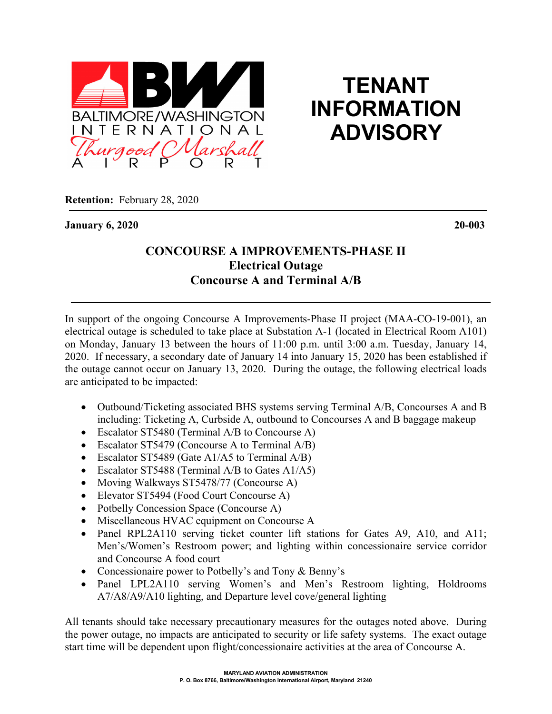

## **TENANT INFORMATION ADVISORY**

**Retention:** February 28, 2020

**January 6, 2020 20-003**

## **CONCOURSE A IMPROVEMENTS-PHASE II Electrical Outage Concourse A and Terminal A/B**

In support of the ongoing Concourse A Improvements-Phase II project (MAA-CO-19-001), an electrical outage is scheduled to take place at Substation A-1 (located in Electrical Room A101) on Monday, January 13 between the hours of 11:00 p.m. until 3:00 a.m. Tuesday, January 14, 2020. If necessary, a secondary date of January 14 into January 15, 2020 has been established if the outage cannot occur on January 13, 2020. During the outage, the following electrical loads are anticipated to be impacted:

- Outbound/Ticketing associated BHS systems serving Terminal A/B, Concourses A and B including: Ticketing A, Curbside A, outbound to Concourses A and B baggage makeup
- Escalator ST5480 (Terminal A/B to Concourse A)
- Escalator ST5479 (Concourse A to Terminal A/B)
- Escalator ST5489 (Gate A1/A5 to Terminal A/B)
- Escalator ST5488 (Terminal A/B to Gates A1/A5)
- Moving Walkways ST5478/77 (Concourse A)
- Elevator ST5494 (Food Court Concourse A)
- Potbelly Concession Space (Concourse A)
- Miscellaneous HVAC equipment on Concourse A
- Panel RPL2A110 serving ticket counter lift stations for Gates A9, A10, and A11; Men's/Women's Restroom power; and lighting within concessionaire service corridor and Concourse A food court
- Concessionaire power to Potbelly's and Tony & Benny's
- Panel LPL2A110 serving Women's and Men's Restroom lighting, Holdrooms A7/A8/A9/A10 lighting, and Departure level cove/general lighting

All tenants should take necessary precautionary measures for the outages noted above. During the power outage, no impacts are anticipated to security or life safety systems. The exact outage start time will be dependent upon flight/concessionaire activities at the area of Concourse A.